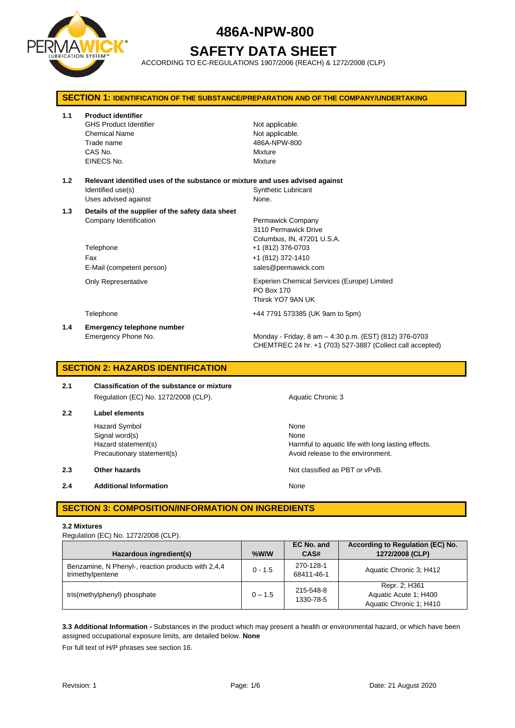

# **SAFETY DATA SHEET**

ACCORDING TO EC-REGULATIONS 1907/2006 (REACH) & 1272/2008 (CLP)

| <b>SECTION 1: IDENTIFICATION OF THE SUBSTANCE/PREPARATION AND OF THE COMPANY/UNDERTAKING</b> |                                                                                                                             |                                                                                                                                          |  |
|----------------------------------------------------------------------------------------------|-----------------------------------------------------------------------------------------------------------------------------|------------------------------------------------------------------------------------------------------------------------------------------|--|
| 1.1                                                                                          | <b>Product identifier</b><br><b>GHS Product Identifier</b><br><b>Chemical Name</b><br>Trade name<br>CAS No.<br>EINECS No.   | Not applicable.<br>Not applicable.<br>486A-NPW-800<br>Mixture<br>Mixture                                                                 |  |
| 1.2                                                                                          | Relevant identified uses of the substance or mixture and uses advised against<br>Identified use(s)<br>Uses advised against  | <b>Synthetic Lubricant</b><br>None.                                                                                                      |  |
| 1.3                                                                                          | Details of the supplier of the safety data sheet<br>Company Identification<br>Telephone<br>Fax<br>E-Mail (competent person) | Permawick Company<br>3110 Permawick Drive<br>Columbus, IN, 47201 U.S.A.<br>+1 (812) 376-0703<br>+1 (812) 372-1410<br>sales@permawick.com |  |
|                                                                                              | <b>Only Representative</b>                                                                                                  | Experien Chemical Services (Europe) Limited<br><b>PO Box 170</b><br>Thirsk YO7 9AN UK                                                    |  |
|                                                                                              | Telephone                                                                                                                   | +44 7791 573385 (UK 9am to 5pm)                                                                                                          |  |
| 1.4                                                                                          | <b>Emergency telephone number</b><br>Emergency Phone No.                                                                    | Monday - Friday, 8 am - 4:30 p.m. (EST) (812) 376-0703<br>CHEMTREC 24 hr. +1 (703) 527-3887 (Collect call accepted)                      |  |

# **SECTION 2: HAZARDS IDENTIFICATION**

# **2.1 Classification of the substance or mixture** Regulation (EC) No. 1272/2008 (CLP). Aquatic Chronic 3

# **2.2 Label elements** Hazard Symbol None

Signal word(s) None

**2.4 Additional Information None** 

Hazard statement(s) The Harmful to aquatic life with long lasting effects. Precautionary statement(s) example a provide the environment.

**2.3 Other hazards Details According to the COVID-100 Motion COVID-100 Motion COVID-100 Motion COVID-100 Motion COVID-100 Motion COVID-100 Motion COVID-100 Motion COVID-100 Motion COVID-100 Motion COVID-100 Motion COVI** 

# **SECTION 3: COMPOSITION/INFORMATION ON INGREDIENTS**

### **3.2 Mixtures**

Regulation (EC) No. 1272/2008 (CLP).

| Hazardous ingredient(s)                                                | $%$ W/W   | EC No. and<br>CAS#      | According to Regulation (EC) No.<br>1272/2008 (CLP)               |
|------------------------------------------------------------------------|-----------|-------------------------|-------------------------------------------------------------------|
| Benzamine, N Phenyl-, reaction products with 2,4,4<br>trimethylpentene | $0 - 1.5$ | 270-128-1<br>68411-46-1 | Aquatic Chronic 3: H412                                           |
| tris(methylphenyl) phosphate                                           | $0 - 1.5$ | 215-548-8<br>1330-78-5  | Repr. 2; H361<br>Aquatic Acute 1: H400<br>Aquatic Chronic 1: H410 |

**3.3 Additional Information -** Substances in the product which may present a health or environmental hazard, or which have been assigned occupational exposure limits, are detailed below. **None**

For full text of H/P phrases see section 16.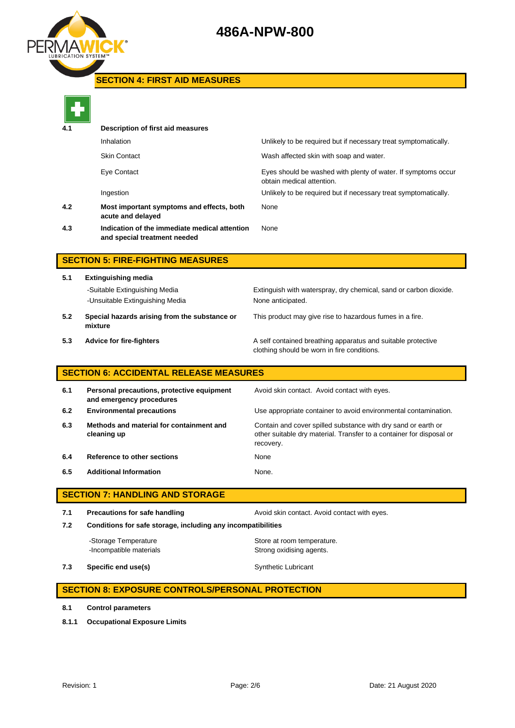

# **SECTION 4: FIRST AID MEASURES**



| ______ |                                                                               |                                                                                            |  |
|--------|-------------------------------------------------------------------------------|--------------------------------------------------------------------------------------------|--|
| 4.1    | Description of first aid measures                                             |                                                                                            |  |
|        | Inhalation                                                                    | Unlikely to be required but if necessary treat symptomatically.                            |  |
|        | <b>Skin Contact</b>                                                           | Wash affected skin with soap and water.                                                    |  |
|        | Eye Contact                                                                   | Eyes should be washed with plenty of water. If symptoms occur<br>obtain medical attention. |  |
|        | Ingestion                                                                     | Unlikely to be required but if necessary treat symptomatically.                            |  |
| 4.2    | Most important symptoms and effects, both<br>acute and delayed                | None                                                                                       |  |
| 4.3    | Indication of the immediate medical attention<br>and special treatment needed | None                                                                                       |  |
|        |                                                                               |                                                                                            |  |

# **SECTION 5: FIRE-FIGHTING MEASURES**

**5.1 Extinguishing media** -Suitable Extinguishing Media Extinguish with waterspray, dry chemical, sand or carbon dioxide. -Unsuitable Extinguishing Media None anticipated. **5.2 Special hazards arising from the substance or mixture**

This product may give rise to hazardous fumes in a fire.

**5.3 Advice for fire-fighters A self** contained breathing apparatus and suitable protective clothing should be worn in fire conditions.

# **SECTION 6: ACCIDENTAL RELEASE MEASURES**

| 6.1 | Personal precautions, protective equipment<br>and emergency procedures | Avoid skin contact. Avoid contact with eyes.                                                                                                       |
|-----|------------------------------------------------------------------------|----------------------------------------------------------------------------------------------------------------------------------------------------|
| 6.2 | <b>Environmental precautions</b>                                       | Use appropriate container to avoid environmental contamination.                                                                                    |
| 6.3 | Methods and material for containment and<br>cleaning up                | Contain and cover spilled substance with dry sand or earth or<br>other suitable dry material. Transfer to a container for disposal or<br>recovery. |
| 6.4 | Reference to other sections                                            | None                                                                                                                                               |
| 6.5 | <b>Additional Information</b>                                          | None.                                                                                                                                              |

# **SECTION 7: HANDLING AND STORAGE**

**7.1 Precautions for safe handling Avoid skin contact. Avoid contact with eyes. 7.2 Conditions for safe storage, including any incompatibilities** -Storage Temperature **Store at room temperature.** 

**7.3 Specific end use(s)** Synthetic Lubricant

# **SECTION 8: EXPOSURE CONTROLS/PERSONAL PROTECTION**

-Incompatible materials **Strong oxidising agents**.

- **8.1 Control parameters**
- **8.1.1 Occupational Exposure Limits**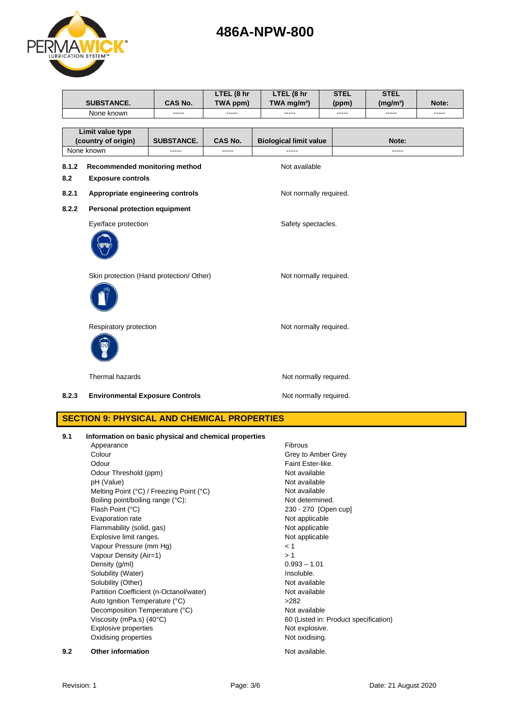**STEL** 

**STEL** 

**SUBSTANCE. CAS No. LTEL (8 hr TWA ppm) LTEL (8 hr TWA mg/m³) (ppm) (mg/m³) Note:** None known ----- ----- ----- ----- ----- ----- **Limit value type (country of origin) SUBSTANCE. CAS No. Biological limit value Note:** None known ----- ----- ----- ----- **8.1.2 Recommended monitoring method Not available 8.2 Exposure controls** 8.2.1 **Appropriate engineering controls** Not normally required. **8.2.2 Personal protection equipment** Eye/face protection extensive state of the Safety spectacles. Skin protection (Hand protection/ Other) Not normally required. Respiratory protection and a set of the Not normally required. Thermal hazards **Not normally required. 8.2.3 Environmental Exposure Controls Notified Motion Not normally required. SECTION 9: PHYSICAL AND CHEMICAL PROPERTIES 9.1 Information on basic physical and chemical properties** Appearance Fibrous Colour Colour Colour Colour Colour Colour Colour Colour Colour Colour Colour Colour Colour Colour Colour Colou

Odour **Faint Ester-like.** Odour Threshold (ppm) Not available<br>
Dhe (Value) Not available<br>
Not available pH (Value) Melting Point (°C) / Freezing Point (°C) Not available Boiling point/boiling range (°C): Not determined. Flash Point (°C) 230 - 270 [Open cup] Evaporation rate **Not applicable** Flammability (solid, gas) Not applicable Explosive limit ranges. The state of the state of the Not applicable Vapour Pressure (mm Hg) < 1 Vapour Density (Air=1)  $> 1$ <br>Density (a/ml)  $0.993 - 1.01$ Density (g/ml) 0.993 – 1.<br>
Solubility (Water) 6.000 minutes of the control of the control of the control of the control of the control of the control of the control of the control of the control of the control of the contr Solubility (Water) Solubility (Other) Not available Partition Coefficient (n-Octanol/water) Not available Auto Ignition Temperature (°C) <br>
>282 Decomposition Temperature (°C) Not available Viscosity (mPa.s) (40°C) 60 (Listed in: Product specification) Explosive properties **Not explosive.** Not explosive. Oxidising properties Not oxidising.

**9.2 Other information Not available.** 

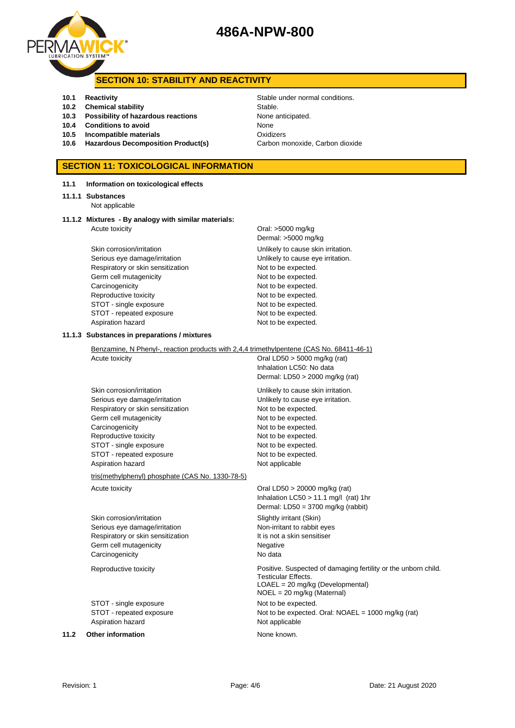



### **SECTION 10: STABILITY AND REACTIVITY**

- 
- **10.2 Chemical stability** Stable.
- **10.3 Possibility of hazardous reactions** None anticipated.
- **10.4 Conditions to avoid** None
- **10.5 Incompatible materials** Oxidizers
- 

# **SECTION 11: TOXICOLOGICAL INFORMATION**

#### **11.1 Information on toxicological effects**

#### **11.1.1 Substances**

Not applicable

#### **11.1.2 Mixtures - By analogy with similar materials:** Acute toxicity **Acute in the Contract Acute of the Contract Oral:** >5000 mg/kg

Skin corrosion/irritation extended to the Unlikely to cause skin irritation. Serious eye damage/irritation **Exercise 20** Unlikely to cause eye irritation. Respiratory or skin sensitization Not to be expected. Germ cell mutagenicity **Not to be expected.** Carcinogenicity **Not to be expected.** Reproductive toxicity Not to be expected. STOT - single exposure Not to be expected. STOT - repeated exposure Not to be expected. Aspiration hazard Not to be expected.

Dermal: >5000 mg/kg

#### **11.1.3 Substances in preparations / mixtures**

| Benzamine, N Phenyl-, reaction products with 2,4,4 trimethylpentene (CAS No. 68411-46-1) |                                                                                                                  |  |  |
|------------------------------------------------------------------------------------------|------------------------------------------------------------------------------------------------------------------|--|--|
| Acute toxicity                                                                           | Oral LD50 $>$ 5000 mg/kg (rat)                                                                                   |  |  |
|                                                                                          | Inhalation LC50: No data                                                                                         |  |  |
|                                                                                          | Dermal: $LD50 > 2000$ mg/kg (rat)                                                                                |  |  |
| Skin corrosion/irritation                                                                | Unlikely to cause skin irritation.                                                                               |  |  |
| Serious eye damage/irritation                                                            | Unlikely to cause eye irritation.                                                                                |  |  |
| Respiratory or skin sensitization                                                        | Not to be expected.                                                                                              |  |  |
| Germ cell mutagenicity                                                                   | Not to be expected.                                                                                              |  |  |
| Carcinogenicity                                                                          | Not to be expected.                                                                                              |  |  |
| Reproductive toxicity                                                                    | Not to be expected.                                                                                              |  |  |
| STOT - single exposure                                                                   | Not to be expected.                                                                                              |  |  |
| STOT - repeated exposure                                                                 | Not to be expected.                                                                                              |  |  |
| Aspiration hazard                                                                        | Not applicable                                                                                                   |  |  |
| tris(methylphenyl) phosphate (CAS No. 1330-78-5)                                         |                                                                                                                  |  |  |
| Acute toxicity                                                                           | Oral LD50 $>$ 20000 mg/kg (rat)<br>Inhalation LC50 > 11.1 mg/l (rat) 1hr<br>Dermal: $LD50 = 3700$ mg/kg (rabbit) |  |  |
| Skin corrosion/irritation                                                                | Slightly irritant (Skin)                                                                                         |  |  |
| Serious eye damage/irritation                                                            | Non-irritant to rabbit eyes                                                                                      |  |  |
| Respiratory or skin sensitization                                                        | It is not a skin sensitiser                                                                                      |  |  |
| Germ cell mutagenicity                                                                   | Negative                                                                                                         |  |  |
| Carcinogenicity                                                                          | No data                                                                                                          |  |  |

Reproductive toxicity **Network Constructs** Positive. Suspected of damaging fertility or the unborn child.

STOT - single exposure Not to be expected. STOT - repeated exposure Not to be expected. Oral: NOAEL = 1000 mg/kg (rat) Aspiration hazard Not applicable

**11.2 Other information None known.** 

**10.1 Reactivity** Reactivity **Reactivity** Stable under normal conditions. **10.6 Hazardous Decomposition Product(s)** Carbon monoxide, Carbon dioxide

Testicular Effects.

LOAEL = 20 mg/kg (Developmental) NOEL = 20 mg/kg (Maternal)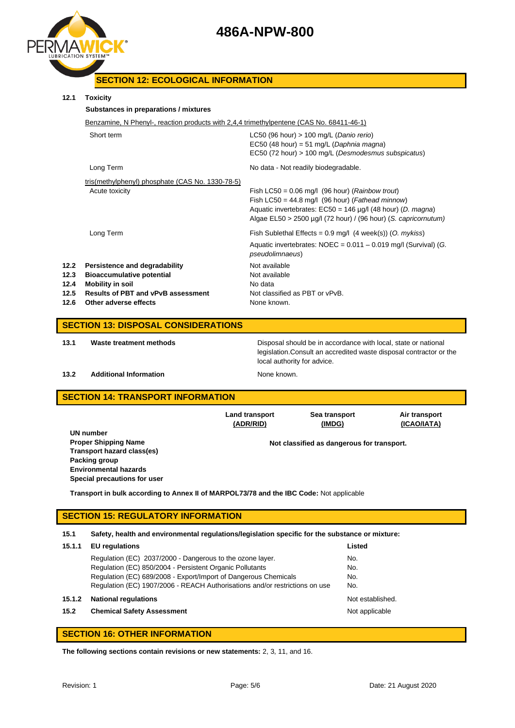



# **SECTION 12: ECOLOGICAL INFORMATION**

### **12.1 Toxicity**

| 12.1                         | Toxicity<br>Substances in preparations / mixtures                                                                                  |                                                                                                                                                                                                                                                            |  |
|------------------------------|------------------------------------------------------------------------------------------------------------------------------------|------------------------------------------------------------------------------------------------------------------------------------------------------------------------------------------------------------------------------------------------------------|--|
|                              | Benzamine, N Phenyl-, reaction products with 2,4,4 trimethylpentene (CAS No. 68411-46-1)                                           |                                                                                                                                                                                                                                                            |  |
|                              | Short term                                                                                                                         | LC50 (96 hour) $> 100$ mg/L (Danio rerio)<br>EC50 (48 hour) = 51 mg/L (Daphnia magna)<br>EC50 (72 hour) > 100 mg/L (Desmodesmus subspicatus)                                                                                                               |  |
|                              | Long Term                                                                                                                          | No data - Not readily biodegradable.                                                                                                                                                                                                                       |  |
|                              | tris(methylphenyl) phosphate (CAS No. 1330-78-5)<br>Acute toxicity                                                                 | Fish LC50 = $0.06$ mg/l (96 hour) ( <i>Rainbow trout</i> )<br>Fish LC50 = 44.8 mg/l (96 hour) (Fathead minnow)<br>Aquatic invertebrates: $EC50 = 146 \mu g/l$ (48 hour) (D. magna)<br>Algae $EL50 > 2500 \mu g/l$ (72 hour) / (96 hour) (S. capricornutum) |  |
|                              | Long Term                                                                                                                          | Fish Sublethal Effects = $0.9$ mg/l (4 week(s)) (O. mykiss)<br>Aquatic invertebrates: $NOEC = 0.011 - 0.019$ mg/l (Survival) (G.<br>pseudolimnaeus)                                                                                                        |  |
| 12.2<br>12.3<br>12.4<br>12.5 | Persistence and degradability<br><b>Bioaccumulative potential</b><br>Mobility in soil<br><b>Results of PBT and vPvB assessment</b> | Not available<br>Not available<br>No data<br>Not classified as PBT or vPvB.                                                                                                                                                                                |  |

**12.6 Other adverse effects None known.** 

#### **SECTION 13: DISPOSAL CONSIDERATIONS**

**13.1 Waste treatment methods** Disposal should be in accordance with local, state or national legislation.Consult an accredited waste disposal contractor or the local authority for advice.

#### **13.2 Additional Information None known. None known.**

### **SECTION 14: TRANSPORT INFORMATION**

**Land transport (ADR/RID) Sea transport (IMDG) Air transport (ICAO/IATA) UN number Proper Shipping Name Not classified as dangerous for transport. Transport hazard class(es) Packing group Environmental hazards Special precautions for user**

**Transport in bulk according to Annex II of MARPOL73/78 and the IBC Code:** Not applicable

### **SECTION 15: REGULATORY INFORMATION**

**15.1 Safety, health and environmental regulations/legislation specific for the substance or mixture:**

| 15.1.1 | <b>EU</b> regulations                                                       | Listed           |
|--------|-----------------------------------------------------------------------------|------------------|
|        | Regulation (EC) 2037/2000 - Dangerous to the ozone layer.                   | No.              |
|        | Regulation (EC) 850/2004 - Persistent Organic Pollutants                    | No.              |
|        | Regulation (EC) 689/2008 - Export/Import of Dangerous Chemicals             | No.              |
|        | Regulation (EC) 1907/2006 - REACH Authorisations and/or restrictions on use | No.              |
| 15.1.2 | <b>National regulations</b>                                                 | Not established. |
| 15.2   | <b>Chemical Safety Assessment</b>                                           | Not applicable   |
|        |                                                                             |                  |

### **SECTION 16: OTHER INFORMATION**

**The following sections contain revisions or new statements:** 2, 3, 11, and 16.